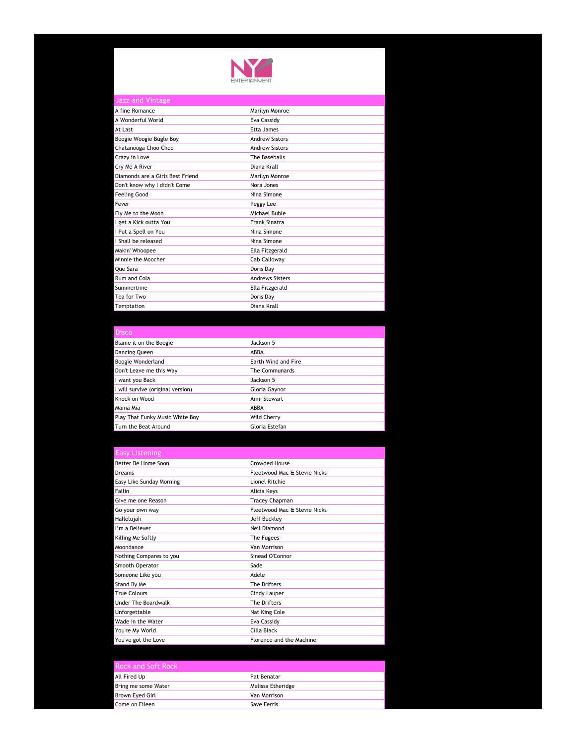

| Jazz and Vintage                 |                        |
|----------------------------------|------------------------|
| A fine Romance                   | Marilyn Monroe         |
| A Wonderful World                | Eva Cassidy            |
| At Last                          | <b>Etta James</b>      |
| Boogie Woogie Bugle Boy          | <b>Andrew Sisters</b>  |
| Chatanooga Choo Choo             | <b>Andrew Sisters</b>  |
| Crazy in Love                    | The Baseballs          |
| Cry Me A River                   | Diana Krall            |
| Diamonds are a Girls Best Friend | Marilyn Monroe         |
| Don't know why I didn't Come     | Nora Jones             |
| <b>Feeling Good</b>              | Nina Simone            |
| Fever                            | Peggy Lee              |
| Fly Me to the Moon               | Michael Buble          |
| I get a Kick outta You           | <b>Frank Sinatra</b>   |
| I Put a Spell on You             | Nina Simone            |
| I Shall be released              | Nina Simone            |
| Makin' Whoopee                   | Ella Fitzgerald        |
| Minnie the Moocher               | Cab Calloway           |
| Que Sara                         | Doris Day              |
| Rum and Cola                     | <b>Andrews Sisters</b> |
| Summertime                       | Ella Fitzgerald        |
| Tea for Two                      | Doris Day              |
| Temptation                       | Diana Krall            |

| Disco,                            |                     |
|-----------------------------------|---------------------|
| Blame it on the Boogie            | Jackson 5           |
| Dancing Queen                     | ABBA                |
| Boogie Wonderland                 | Earth Wind and Fire |
| Don't Leave me this Way           | The Communards      |
| I want you Back                   | Jackson 5           |
| I will survive (original version) | Gloria Gaynor       |
| Knock on Wood                     | Amii Stewart        |
| Mama Mia                          | ABBA                |
| Play That Funky Music White Boy   | Wild Cherry         |
| Turn the Beat Around              | Gloria Estefan      |

| <b>Easy Listening</b>      |                              |
|----------------------------|------------------------------|
| Better Be Home Soon        | Crowded House                |
| <b>Dreams</b>              | Fleetwood Mac & Stevie Nicks |
| Easy Like Sunday Morning   | Lionel Ritchie               |
| Fallin                     | Alicia Keys                  |
| Give me one Reason         | <b>Tracey Chapman</b>        |
| Go your own way            | Fleetwood Mac & Stevie Nicks |
| Hallelujah                 | Jeff Buckley                 |
| I'm a Believer             | Neil Diamond                 |
| Killing Me Softly          | The Fugees                   |
| Moondance                  | Van Morrison                 |
| Nothing Compares to you    | Sinead O'Connor              |
| Smooth Operator            | Sade                         |
| Someone Like you           | Adele                        |
| Stand By Me                | <b>The Drifters</b>          |
| <b>True Colours</b>        | Cindy Lauper                 |
| <b>Under The Boardwalk</b> | The Drifters                 |
| Unforgettable              | Nat King Cole                |
| Wade in the Water          | Eva Cassidy                  |
| You're My World            | Cilla Black                  |
| You've got the Love        | Florence and the Machine     |

| <b>Rock and Soft Rock</b> |                   |
|---------------------------|-------------------|
| All Fired Up              | Pat Benatar       |
| Bring me some Water       | Melissa Etheridge |
| Brown Eyed Girl           | Van Morrison      |
| Come on Eileen            | Save Ferris       |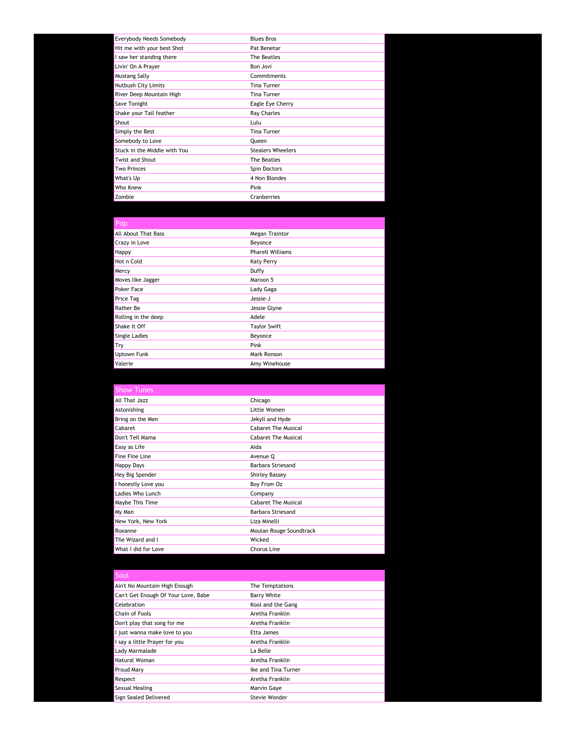| Everybody Needs Somebody     | <b>Blues Bros</b>        |
|------------------------------|--------------------------|
| Hit me with your best Shot   | Pat Benetar              |
| I saw her standing there     | The Beatles              |
| Livin' On A Prayer           | Bon Jovi                 |
| Mustang Sally                | Commitments              |
| Nutbush City Limits          | Tina Turner              |
| River Deep Mountain High     | Tina Turner              |
| Save Tonight                 | Eagle Eye Cherry         |
| Shake your Tail feather      | Ray Charles              |
| Shout                        | Lulu                     |
| Simply the Best              | <b>Tina Turner</b>       |
| Somebody to Love             | Queen                    |
| Stuck in the Middle with You | <b>Stealers Wheelers</b> |
| <b>Twist and Shout</b>       | The Beatles              |
| Two Princes                  | Spin Doctors             |
| What's Up                    | 4 Non Blondes            |
| Who Knew                     | Pink                     |
| Zombie                       | Cranberries              |

| Pop                 |                         |
|---------------------|-------------------------|
| All About That Bass | Megan Traintor          |
| Crazy in Love       | Beyonce                 |
| Happy               | <b>Pharell Williams</b> |
| Hot n Cold          | <b>Katy Perry</b>       |
| Mercy               | Duffy                   |
| Moves like Jagger   | Maroon 5                |
| Poker Face          | Lady Gaga               |
| Price Tag           | Jessie-J                |
| Rather Be           | Jessie Glyne            |
| Rolling in the deep | Adele                   |
| Shake It Off        | <b>Taylor Swift</b>     |
| Single Ladies       | Beyonce                 |
| Try                 | Pink                    |
| Uptown Funk         | Mark Ronson             |
| Valerie             | Amy Winehouse           |

| <b>Show Tunes</b>   |                            |
|---------------------|----------------------------|
| All That Jazz       | Chicago                    |
| Astonishing         | Little Women               |
| Bring on the Men    | Jekyll and Hyde            |
| Cabaret             | <b>Cabaret The Musical</b> |
| Don't Tell Mama     | <b>Cabaret The Musical</b> |
| Easy as Life        | Aida                       |
| Fine Fine Line      | Avenue Q                   |
| <b>Happy Days</b>   | Barbara Striesand          |
| Hey Big Spender     | <b>Shirley Bassey</b>      |
| I honestly Love you | Boy From Oz                |
| Ladies Who Lunch    | Company                    |
| Maybe This Time     | <b>Cabaret The Musical</b> |
| My Man              | Barbara Striesand          |
| New York, New York  | Liza Minelli               |
| Roxanne             | Moulan Rouge Soundtrack    |
| The Wizard and I    | Wicked                     |
| What I did for Love | Chorus Line                |

| Soul                                |                     |
|-------------------------------------|---------------------|
| Ain't No Mountain High Enough       | The Temptations     |
| Can't Get Enough Of Your Love, Babe | Barry White         |
| Celebration                         | Kool and the Gang   |
| Chain of Fools                      | Aretha Franklin     |
| Don't play that song for me         | Aretha Franklin     |
| I just wanna make love to you       | Etta James          |
| I say a little Prayer for you       | Aretha Franklin     |
| Lady Marmalade                      | La Belle            |
| Natural Woman                       | Aretha Franklin     |
| Proud Mary                          | Ike and Tina Turner |
| Respect                             | Aretha Franklin     |
| Sexual Healing                      | Marvin Gaye         |
| Sign Sealed Delivered               | Stevie Wonder       |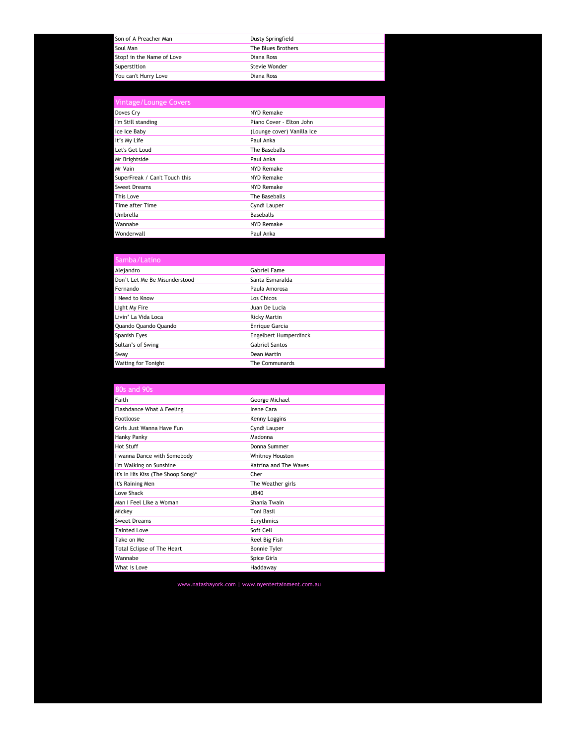| <b>Son of A Preacher Man</b> | Dusty Springfield  |
|------------------------------|--------------------|
| Soul Man                     | The Blues Brothers |
| Stop! in the Name of Love    | Diana Ross         |
| Superstition                 | Stevie Wonder      |
| You can't Hurry Love         | Diana Ross         |

| <b>Vintage/Lounge Covers</b>  |                            |
|-------------------------------|----------------------------|
| Doves Cry                     | NYD Remake                 |
| I'm Still standing            | Piano Cover - Elton John   |
| Ice Ice Baby                  | (Lounge cover) Vanilla Ice |
| It's My Life                  | Paul Anka                  |
| Let's Get Loud                | The Baseballs              |
| Mr Brightside                 | Paul Anka                  |
| Mr Vain                       | NYD Remake                 |
| SuperFreak / Can't Touch this | NYD Remake                 |
| Sweet Dreams                  | NYD Remake                 |
| This Love                     | The Baseballs              |
| Time after Time               | Cyndi Lauper               |
| Umbrella                      | <b>Baseballs</b>           |
| Wannabe                       | NYD Remake                 |
| Wonderwall                    | Paul Anka                  |

| Samba/Latino                  |                       |
|-------------------------------|-----------------------|
| Alejandro                     | Gabriel Fame          |
| Don't Let Me Be Misunderstood | Santa Esmaralda       |
| Fernando                      | Paula Amorosa         |
| I Need to Know                | Los Chicos            |
| Light My Fire                 | Juan De Lucia         |
| Livin' La Vida Loca           | Ricky Martin          |
| Quando Quando Quando          | Enrique Garcia        |
| Spanish Eyes                  | Engelbert Humperdinck |
| Sultan's of Swing             | <b>Gabriel Santos</b> |
| Sway                          | Dean Martin           |
| <b>Waiting for Tonight</b>    | The Communards        |

| 80s and 90s                        |                       |
|------------------------------------|-----------------------|
| Faith                              | George Michael        |
| <b>Flashdance What A Feeling</b>   | Irene Cara            |
| Footloose                          | Kenny Loggins         |
| Girls Just Wanna Have Fun          | Cyndi Lauper          |
| Hanky Panky                        | Madonna               |
| Hot Stuff                          | Donna Summer          |
| I wanna Dance with Somebody        | Whitney Houston       |
| I'm Walking on Sunshine            | Katrina and The Waves |
| It's In His Kiss (The Shoop Song)* | Cher                  |
| It's Raining Men                   | The Weather girls     |
| Love Shack                         | <b>UB40</b>           |
| Man I Feel Like a Woman            | Shania Twain          |
| Mickey                             | <b>Toni Basil</b>     |
| <b>Sweet Dreams</b>                | Eurythmics            |
| <b>Tainted Love</b>                | Soft Cell             |
| Take on Me                         | Reel Big Fish         |
| Total Eclipse of The Heart         | <b>Bonnie Tyler</b>   |
| Wannabe                            | Spice Girls           |
| What Is Love                       | Haddaway              |

www.natashayork.com | www.nyentertainment.com.au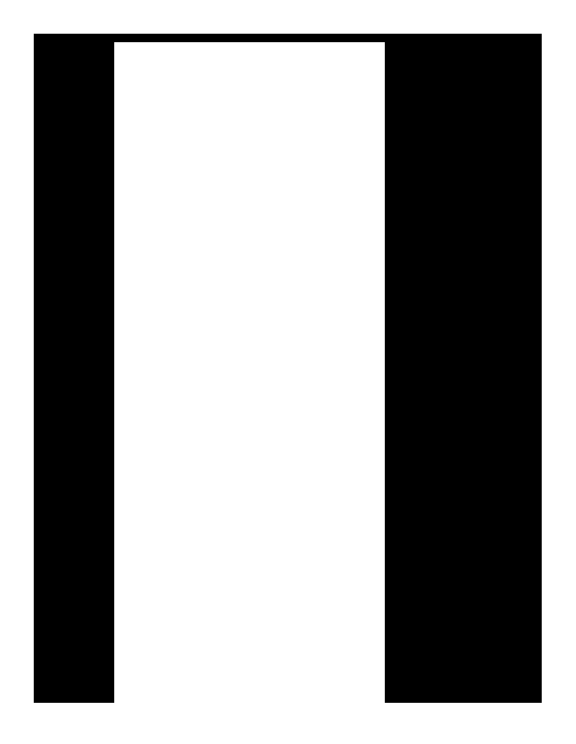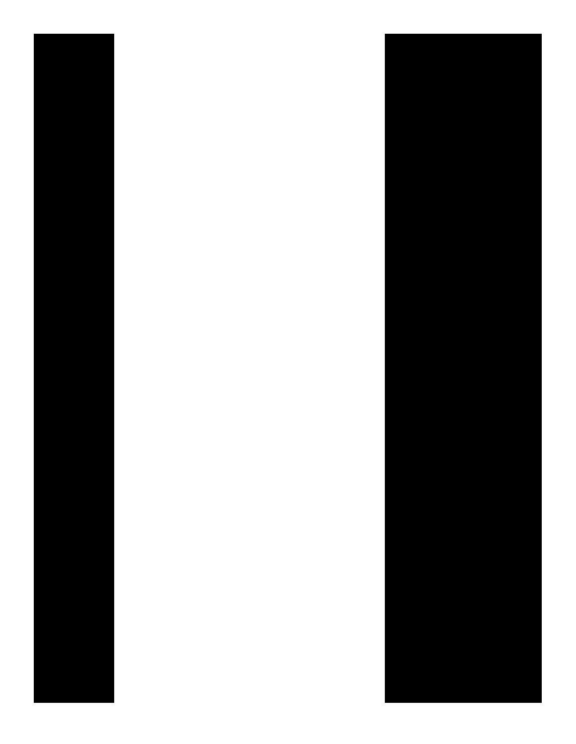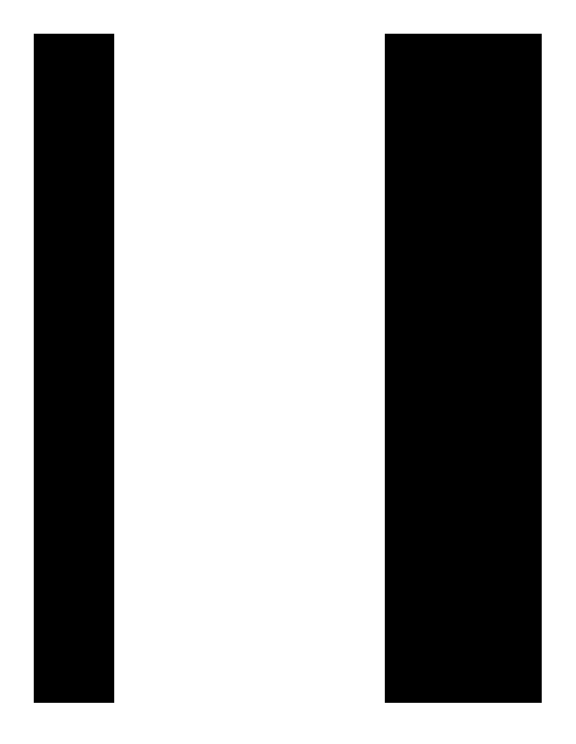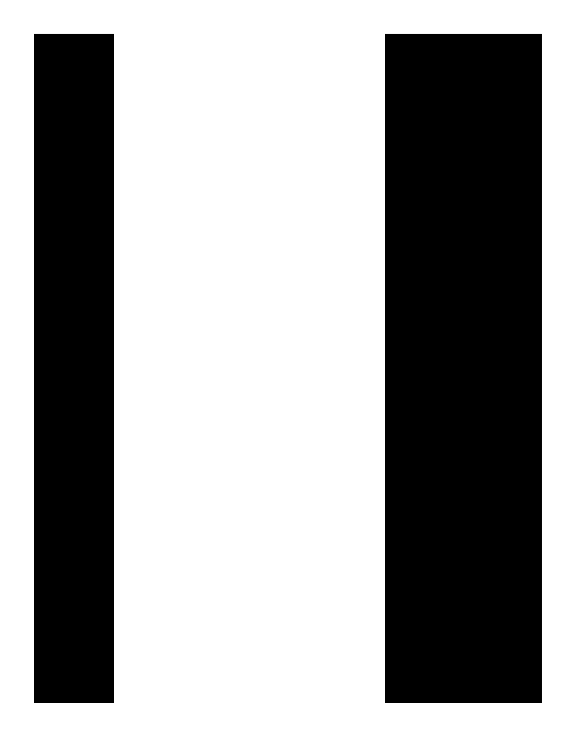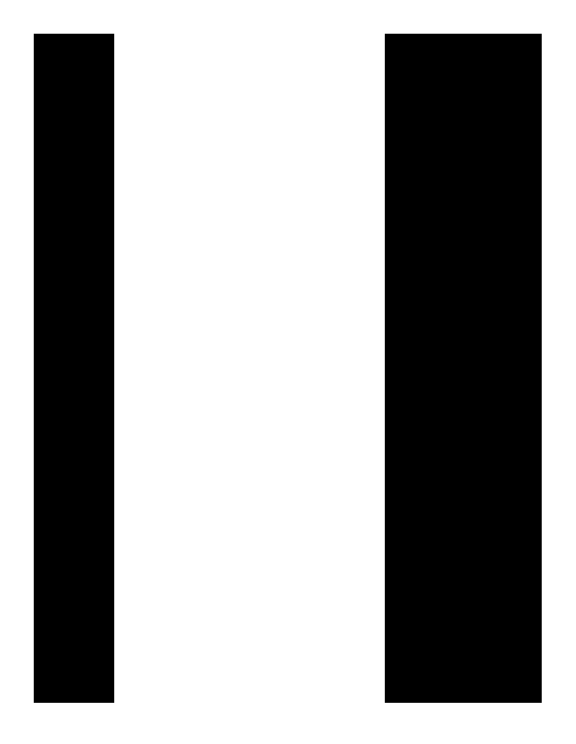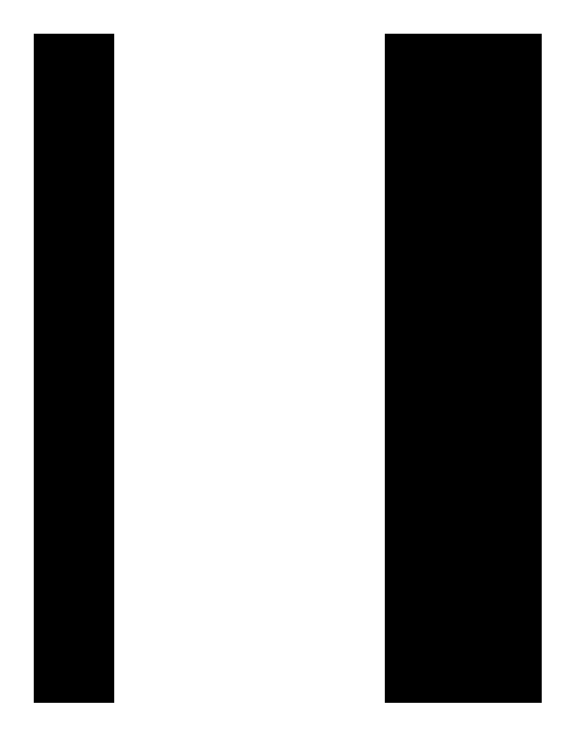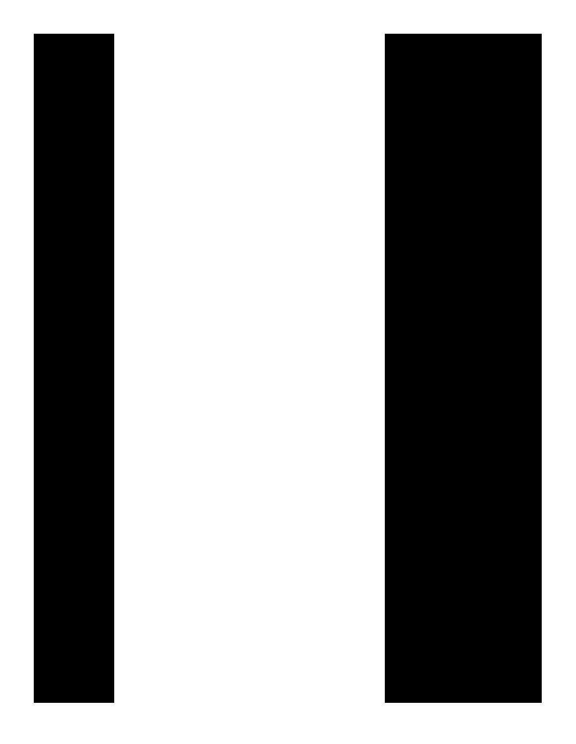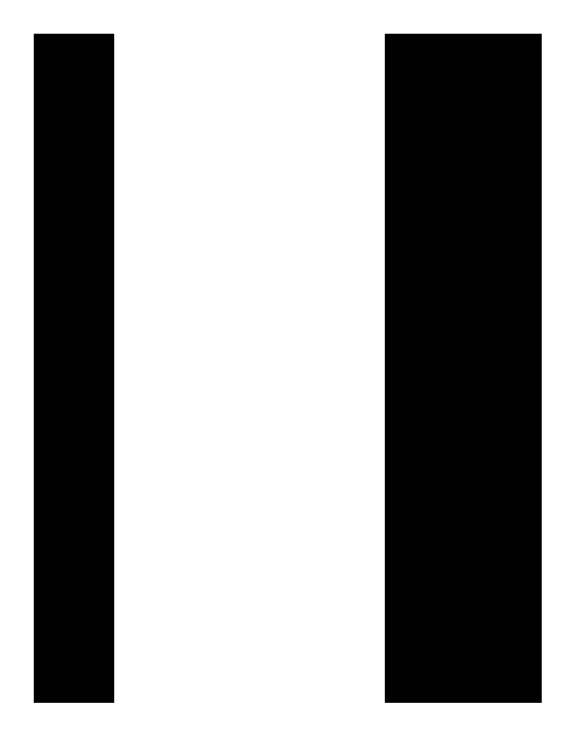